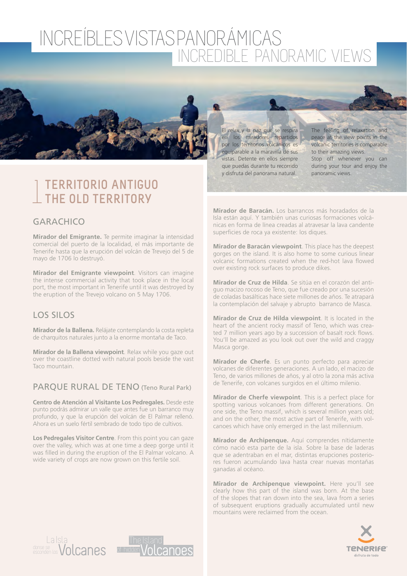

# 1**TERRITORIO ANTIGUO THE OLD TERRITORY**

## GARACHICO

**Mirador del Emigrante.** Te permite imaginar la intensidad comercial del puerto de la localidad, el más importante de Tenerife hasta que la erupción del volcán de Trevejo del 5 de mayo de 1706 lo destruyó.

**Mirador del Emigrante viewpoint**. Visitors can imagine the intense commercial activity that took place in the local port, the most important in Tenerife until it was destroyed by the eruption of the Trevejo volcano on 5 May 1706.

## LOS SILOS

**Mirador de la Ballena.** Relájate contemplando la costa repleta de charquitos naturales junto a la enorme montaña de Taco.

**Mirador de la Ballena viewpoint**. Relax while you gaze out over the coastline dotted with natural pools beside the vast Taco mountain.

#### PARQUE RURAL DE TENO (Teno Rural Park)

**Centro de Atención al Visitante Los Pedregales.** Desde este punto podrás admirar un valle que antes fue un barranco muy profundo, y que la erupción del volcán de El Palmar rellenó. Ahora es un suelo fértil sembrado de todo tipo de cultivos.

**Los Pedregales Visitor Centre**. From this point you can gaze over the valley, which was at one time a deep gorge until it was filled in during the eruption of the El Palmar volcano. A wide variety of crops are now grown on this fertile soil.

El relax y la paz que se respira en los miradores repartidos por los territorios volcánicos es equiparable a la maravilla de sus vistas. Detente en ellos siempre que puedas durante tu recorrido y disfruta del panorama natural.

The feeling of relaxation and peace at the view points in the volcanic territories is comparable to their amazing views. Stop off whenever you can during your tour and enjoy the panoramic views.

**Mirador de Baracán.** Los barrancos más horadados de la Isla están aquí. Y también unas curiosas formaciones volcánicas en forma de línea creadas al atravesar la lava candente superficies de roca ya existente: los diques.

**Mirador de Baracán viewpoint**. This place has the deepest gorges on the island. It is also home to some curious linear volcanic formations created when the red-hot lava flowed over existing rock surfaces to produce dikes.

**Mirador de Cruz de Hilda**. Se sitúa en el corazón del antiguo macizo rocoso de Teno, que fue creado por una sucesión de coladas basálticas hace siete millones de años. Te atrapará la contemplación del salvaje y abrupto barranco de Masca.

**Mirador de Cruz de Hilda viewpoint**. It is located in the heart of the ancient rocky massif of Teno, which was created 7 million years ago by a succession of basalt rock flows. You'll be amazed as you look out over the wild and craggy Masca gorge.

**Mirador de Cherfe**. Es un punto perfecto para apreciar volcanes de diferentes generaciones. A un lado, el macizo de Teno, de varios millones de años, y al otro la zona más activa de Tenerife, con volcanes surgidos en el último milenio.

**Mirador de Cherfe viewpoint**. This is a perfect place for spotting various volcanoes from different generations. On one side, the Teno massif, which is several million years old; and on the other, the most active part of Tenerife, with volcanoes which have only emerged in the last millennium.

**Mirador de Archipenque.** Aquí comprendes nítidamente cómo nació esta parte de la isla. Sobre la base de laderas que se adentraban en el mar, distintas erupciones posteriores fueron acumulando lava hasta crear nuevas montañas ganadas al océano.

**Mirador de Archipenque viewpoint.** Here you'll see clearly how this part of the island was born. At the base of the slopes that ran down into the sea, lava from a series of subsequent eruptions gradually accumulated until new mountains were reclaimed from the ocean.





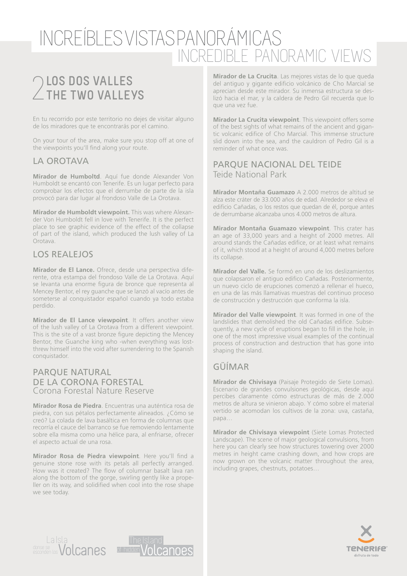# 2**LOS DOS VALLES THE TWO VALLEYS**

En tu recorrido por este territorio no dejes de visitar alguno de los miradores que te encontrarás por el camino.

On your tour of the area, make sure you stop off at one of the viewpoints you'll find along your route.

#### LA OROTAVA

**Mirador de Humboltd**. Aquí fue donde Alexander Von Humboldt se encantó con Tenerife. Es un lugar perfecto para comprobar los efectos que el derrumbe de parte de la isla provocó para dar lugar al frondoso Valle de La Orotava.

**Mirador de Humboldt viewpoint.** This was where Alexander Von Humboldt fell in love with Tenerife. It is the perfect place to see graphic evidence of the effect of the collapse of part of the island, which produced the lush valley of La Orotava.

### LOS REALEJOS

**Mirador de El Lance.** Ofrece, desde una perspectiva diferente, otra estampa del frondoso Valle de La Orotava. Aquí se levanta una enorme figura de bronce que representa al Mencey Bentor, el rey guanche que se lanzó al vacío antes de someterse al conquistador español cuando ya todo estaba perdido.

**Mirador de El Lance viewpoint**. It offers another view of the lush valley of La Orotava from a different viewpoint. This is the site of a vast bronze figure depicting the Mencey Bentor, the Guanche king who -when everything was lostthrew himself into the void after surrendering to the Spanish conquistador.

#### PARQUE NATURAL DE LA CORONA FORESTAL Corona Forestal Nature Reserve

**Mirador Rosa de Piedra**. Encuentras una auténtica rosa de piedra, con sus pétalos perfectamente alineados. ¿Cómo se creó? La colada de lava basáltica en forma de columnas que recorría el cauce del barranco se fue removiendo lentamente sobre ella misma como una hélice para, al enfriarse, ofrecer el aspecto actual de una rosa.

**Mirador Rosa de Piedra viewpoint**. Here you'll find a genuine stone rose with its petals all perfectly arranged. How was it created? The flow of columnar basalt lava ran along the bottom of the gorge, swirling gently like a propeller on its way, and solidified when cool into the rose shape we see today.

**Mirador de La Crucita**. Las mejores vistas de lo que queda del antiguo y gigante edificio volcánico de Cho Marcial se aprecian desde este mirador. Su inmensa estructura se deslizó hacia el mar, y la caldera de Pedro Gil recuerda que lo que una vez fue.

**Mirador La Crucita viewpoint**. This viewpoint offers some of the best sights of what remains of the ancient and gigantic volcanic edifice of Cho Marcial. This immense structure slid down into the sea, and the cauldron of Pedro Gil is a reminder of what once was.

#### PARQUE NACIONAL DEL TEIDE Teide National Park

**Mirador Montaña Guamazo** A 2.000 metros de altitud se alza este cráter de 33.000 años de edad. Alrededor se eleva el edificio Cañadas, o los restos que quedan de él, porque antes de derrumbarse alcanzaba unos 4.000 metros de altura.

**Mirador Montaña Guamazo viewpoint**. This crater has an age of 33,000 years and a height of 2000 metres. All around stands the Cañadas edifice, or at least what remains of it, which stood at a height of around 4,000 metres before its collapse.

**Mirador del Valle.** Se formó en uno de los deslizamientos que colapsaron el antiguo edifico Cañadas. Posteriormente, un nuevo ciclo de erupciones comenzó a rellenar el hueco, en una de las más llamativas muestras del continuo proceso de construcción y destrucción que conforma la isla.

**Mirador del Valle viewpoint**. It was formed in one of the landslides that demolished the old Cañadas edifice. Subsequently, a new cycle of eruptions began to fill in the hole, in one of the most impressive visual examples of the continual process of construction and destruction that has gone into shaping the island.

## GÜÍMAR

**Mirador de Chivisaya** (Paisaje Protegido de Siete Lomas). Escenario de grandes convulsiones geológicas, desde aquí percibes claramente cómo estructuras de más de 2.000 metros de altura se vinieron abajo. Y cómo sobre el material vertido se acomodan los cultivos de la zona: uva, castaña, papa…

**Mirador de Chivisaya viewpoint** (Siete Lomas Protected Landscape). The scene of major geological convulsions, from here you can clearly see how structures towering over 2000 metres in height came crashing down, and how crops are now grown on the volcanic matter throughout the area, including grapes, chestnuts, potatoes…





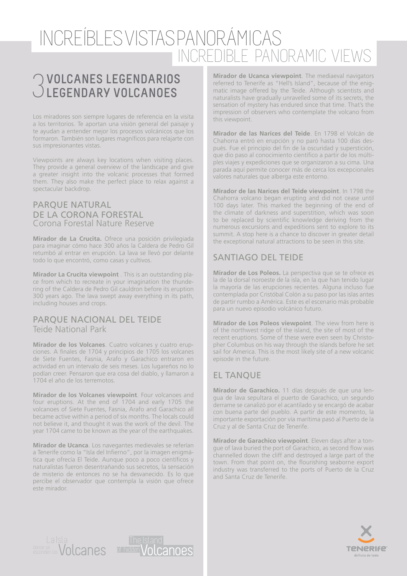# 3**VOLCANES LEGENDARIOS LEGENDARY VOLCANOES**

Los miradores son siempre lugares de referencia en la visita a los territorios. Te aportan una visión general del paisaje y te ayudan a entender mejor los procesos volcánicos que los formaron. También son lugares magníficos para relajarte con sus impresionantes vistas.

Viewpoints are always key locations when visiting places. They provide a general overview of the landscape and give a greater insight into the volcanic processes that formed them. They also make the perfect place to relax against a spectacular backdrop.

#### PARQUE NATURAL DE LA CORONA FORESTAL Corona Forestal Nature Reserve

**Mirador de La Crucita.** Ofrece una posición privilegiada para imaginar cómo hace 300 años la Caldera de Pedro Gil retumbó al entrar en erupción. La lava se llevó por delante todo lo que encontró, como casas y cultivos.

**Mirador La Crucita viewpoint** . This is an outstanding place from which to recreate in your imagination the thundering of the Caldera de Pedro Gil cauldron before its eruption 300 years ago. The lava swept away everything in its path, including houses and crops.

#### PARQUE NACIONAL DEL TEIDE Teide National Park

**Mirador de los Volcanes**. Cuatro volcanes y cuatro erupciones. A finales de 1704 y principios de 1705 los volcanes de Siete Fuentes, Fasnia, Arafo y Garachico entraron en actividad en un intervalo de seis meses. Los lugareños no lo podían creer. Pensaron que era cosa del diablo, y llamaron a 1704 el año de los terremotos.

**Mirador de los Volcanes viewpoint**. Four volcanoes and four eruptions. At the end of 1704 and early 1705 the volcanoes of Siete Fuentes, Fasnia, Arafo and Garachico all became active within a period of six months. The locals could not believe it, and thought it was the work of the devil. The year 1704 came to be known as the year of the earthquakes.

**Mirador de Ucanca**. Los navegantes medievales se referían a Tenerife como la "Isla del Infierno", por la imagen enigmática que ofrecía El Teide. Aunque poco a poco científicos y naturalistas fueron desentrañando sus secretos, la sensación de misterio de entonces no se ha desvanecido. Es lo que percibe el observador que contempla la visión que ofrece este mirador.

**Mirador de Ucanca viewpoint**. The mediaeval navigators referred to Tenerife as "Hell's Island", because of the enigmatic image offered by the Teide. Although scientists and naturalists have gradually unravelled some of its secrets, the sensation of mystery has endured since that time. That's the impression of observers who contemplate the volcano from this viewpoint.

**Mirador de las Narices del Teide**. En 1798 el Volcán de Chahorra entró en erupción y no paró hasta 100 días después. Fue el principio del fin de la oscuridad y superstición, que dio paso al conocimiento científico a partir de los múltiples viajes y expediciones que se organizaron a su cima. Una parada aquí permite conocer más de cerca los excepcionales valores naturales que alberga este entorno.

**Mirador de las Narices del Teide viewpoint**. In 1798 the Chahorra volcano began erupting and did not cease until 100 days later. This marked the beginning of the end of the climate of darkness and superstition, which was soon to be replaced by scientific knowledge deriving from the numerous excursions and expeditions sent to explore to its summit. A stop here is a chance to discover in greater detail the exceptional natural attractions to be seen in this site.

## SANTIAGO DEL TEIDE

**Mirador de Los Poleos.** La perspectiva que se te ofrece es la de la dorsal noroeste de la isla, en la que han tenido lugar la mayoría de las erupciones recientes. Alguna incluso fue contemplada por Cristóbal Colón a su paso por las islas antes de partir rumbo a América. Este es el escenario más probable para un nuevo episodio volcánico futuro.

**Mirador de Los Poleos viewpoint**. The view from here is of the northwest ridge of the island, the site of most of the recent eruptions. Some of these were even seen by Christopher Columbus on his way through the islands before he set sail for America. This is the most likely site of a new volcanic episode in the future.

## EL TANQUE

**Mirador de Garachico.** 11 días después de que una lengua de lava sepultara el puerto de Garachico, un segundo derrame se canalizó por el acantilado y se encargó de acabar con buena parte del pueblo. A partir de este momento, la importante exportación por vía marítima pasó al Puerto de la Cruz y al de Santa Cruz de Tenerife.

**Mirador de Garachico viewpoint**. Eleven days after a tongue of lava buried the port of Garachico, as second flow was channelled down the cliff and destroyed a large part of the town. From that point on, the flourishing seaborne export industry was transferred to the ports of Puerto de la Cruz and Santa Cruz de Tenerife.





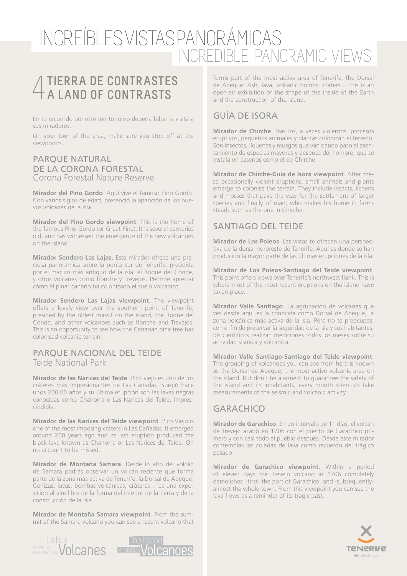# 4**TIERRA DE CONTRASTES A LAND OF CONTRASTS**

En tu recorrido por este territorio no debería faltar la visita a sus miradores.

On your tour of the area, make sure you stop off at the viewpoints.

#### PARQUE NATURAL DE LA CORONA FORESTAL Corona Forestal Nature Reserve

**Mirador del Pino Gordo**. Aquí vive el famoso Pino Gordo. Con varios siglos de edad, presenció la aparición de los nuevos volcanes de la isla.

**Mirador del Pino Gordo viewpoint**. This is the home of the famous Pino Gordo (or Great Pine). It is several centuries old, and has witnessed the emergence of the new volcanoes on the island.

**Mirador Sendero Las Lajas.** Este mirador ofrece una preciosa panorámica sobre la punta sur de Tenerife, presidida por el macizo más antiguo de la isla, el Roque del Conde, y otros volcanes como Ifonche y Trevejos. Permite apreciar cómo el pinar canario ha colonizado el suelo volcánico.

**Mirador Sendero Las Lajas viewpoint**. The viewpoint offers a lovely view over the southern point of Tenerife, presided by the oldest massif on the island, the Roque del Conde, and other volcanoes such as Ifonche and Trevejos. This is an opportunity to see how the Canarian pine tree has colonised volcanic terrain.

#### PARQUE NACIONAL DEL TEIDE Teide National Park

**Mirador de las Narices del Teide**. Pico viejo es uno de los cráteres más impresionantes de Las Cañadas. Surgió hace unos 200.00 años y su última erupción son las lavas negras conocidas como Chahorra o Las Narices del Teide. Imprescindible.

**Mirador de las Narices del Teide viewpoint**. Pico Viejo is one of the most imposing craters in Las Cañadas. It emerged around 200 years ago and its last eruption produced the black lava known as Chahorra or Las Narices del Teide. On no account to be missed.

**Mirador de Montaña Samara**. Desde lo alto del volcán de Samara podrás observar un volcán reciente que forma parte de la zona más activa de Tenerife, la Dorsal de Abeque. Cenizas, lavas, bombas volcánicas, cráteres… es una exposición al aire libre de la forma del interior de la tierra y de la construcción de la isla.

**Mirador de Montaña Samara viewpoint**. From the summit of the Samara volcano you can see a recent volcano that



forms part of the most active area of Tenerife, the Dorsal de Abeque. Ash, lava, volcanic bombs, craters… this is an open-air exhibition of the shape of the inside of the Earth and the construction of the island.

## GUÍA DE ISORA

**Mirador de Chirche**. Tras los, a veces violentos, procesos eruptivos, pequeños animales y plantas colonizan el terreno. Son insectos, líquenes y musgos que van dando paso al asentamiento de especies mayores y después del hombre, que se instala en caseríos como el de Chirche.

**Mirador de Chirche-Guía de Isora viewpoint**. After these occasionally violent eruptions, small animals and plants emerge to colonise the terrain. They include insects, lichens and mosses that pave the way for the settlement of larger species and finally of man, who makes his home in farmsteads such as the one in Chirche.

## SANTIAGO DEL TEIDE

**Mirador de Los Poleos**. Las vistas te ofrecen una perspectiva de la dorsal nororeste de Tenerife. Aquí es donde se han producido la mayor parte de las últimas erupciones de la isla.

**Mirador de Los Poleos-Santiago del Teide viewpoint**. This point offers views over Tenerife's northwest flank. This is where most of the most recent eruptions on the island have taken place.

**Mirador Valle Santiago**. La agrupación de volcanes que ves desde aquí es la conocida como Dorsal de Abeque, la zona volcánica más activa de la isla. Pero no te preocupes, con el fin de preservar la seguridad de la isla y sus habitantes, los científicos realizan mediciones todos los meses sobre su actividad sísmica y volcánica.

**Mirador Valle Santiago-Santiago del Teide viewpoint**. The grouping of volcanoes you can see from here is known as the Dorsal de Abeque, the most active volcanic area on the island. But don't be alarmed: to guarantee the safety of the island and its inhabitants, every month scientists take measurements of the seismic and volcanic activity.

## GARACHICO

**Mirador de Garachico**. En un intervalo de 11 días, el volcán de Trevejo acabó en 1706 con el puerto de Garachico primero y con casi todo el pueblo después. Desde este mirador contemplas las coladas de lava como recuerdo del trágico pasado.

**Mirador de Garachico viewpoint.** Within a period of eleven days the Trevejo volcano in 1706 completely demolished -first- the port of Garachico, and -subsequentlyalmost the whole town. From this viewpoint you can see the lava flows as a reminder of its tragic past.